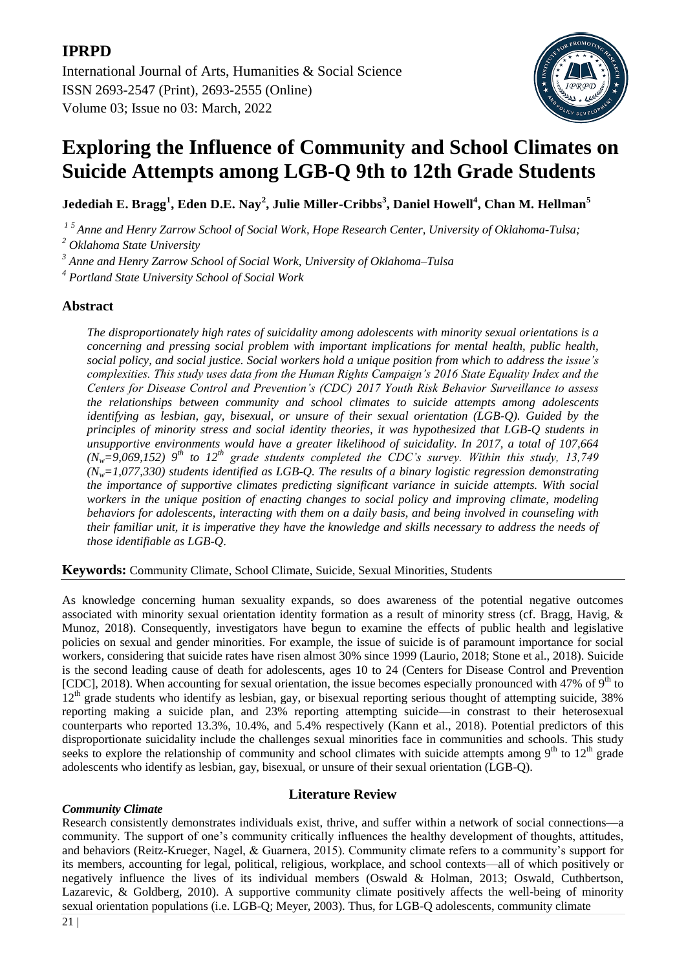

# **Exploring the Influence of Community and School Climates on Suicide Attempts among LGB-Q 9th to 12th Grade Students**

**Jedediah E. Bragg<sup>1</sup> , Eden D.E. Nay<sup>2</sup> , Julie Miller-Cribbs<sup>3</sup> , Daniel Howell<sup>4</sup> , Chan M. Hellman<sup>5</sup>**

*1 5 Anne and Henry Zarrow School of Social Work, Hope Research Center, University of Oklahoma-Tulsa;*

*<sup>2</sup> Oklahoma State University*

*3 Anne and Henry Zarrow School of Social Work, University of Oklahoma–Tulsa*

*4 Portland State University School of Social Work*

# **Abstract**

*The disproportionately high rates of suicidality among adolescents with minority sexual orientations is a concerning and pressing social problem with important implications for mental health, public health, social policy, and social justice. Social workers hold a unique position from which to address the issue's complexities. This study uses data from the Human Rights Campaign's 2016 State Equality Index and the Centers for Disease Control and Prevention's (CDC) 2017 Youth Risk Behavior Surveillance to assess the relationships between community and school climates to suicide attempts among adolescents identifying as lesbian, gay, bisexual, or unsure of their sexual orientation (LGB-Q). Guided by the principles of minority stress and social identity theories, it was hypothesized that LGB-Q students in unsupportive environments would have a greater likelihood of suicidality. In 2017, a total of 107,664*   $(N_w=9,069,152)$  9<sup>th</sup> to 12<sup>th</sup> grade students completed the CDC's survey. Within this study, 13,749 *(Nw=1,077,330) students identified as LGB-Q. The results of a binary logistic regression demonstrating the importance of supportive climates predicting significant variance in suicide attempts. With social workers in the unique position of enacting changes to social policy and improving climate, modeling behaviors for adolescents, interacting with them on a daily basis, and being involved in counseling with their familiar unit, it is imperative they have the knowledge and skills necessary to address the needs of those identifiable as LGB-Q*.

**Keywords:** Community Climate, School Climate, Suicide, Sexual Minorities, Students

As knowledge concerning human sexuality expands, so does awareness of the potential negative outcomes associated with minority sexual orientation identity formation as a result of minority stress (cf. Bragg, Havig, & Munoz, 2018). Consequently, investigators have begun to examine the effects of public health and legislative policies on sexual and gender minorities. For example, the issue of suicide is of paramount importance for social workers, considering that suicide rates have risen almost 30% since 1999 (Laurio, 2018; Stone et al., 2018). Suicide is the second leading cause of death for adolescents, ages 10 to 24 (Centers for Disease Control and Prevention [CDC], 2018). When accounting for sexual orientation, the issue becomes especially pronounced with 47% of  $9<sup>th</sup>$  to  $12<sup>th</sup>$  grade students who identify as lesbian, gay, or bisexual reporting serious thought of attempting suicide, 38% reporting making a suicide plan, and 23% reporting attempting suicide—in constrast to their heterosexual counterparts who reported 13.3%, 10.4%, and 5.4% respectively (Kann et al., 2018). Potential predictors of this disproportionate suicidality include the challenges sexual minorities face in communities and schools. This study seeks to explore the relationship of community and school climates with suicide attempts among  $9<sup>th</sup>$  to  $12<sup>th</sup>$  grade adolescents who identify as lesbian, gay, bisexual, or unsure of their sexual orientation (LGB-Q).

# **Literature Review**

# *Community Climate*

Research consistently demonstrates individuals exist, thrive, and suffer within a network of social connections—a community. The support of one's community critically influences the healthy development of thoughts, attitudes, and behaviors (Reitz-Krueger, Nagel, & Guarnera, 2015). Community climate refers to a community's support for its members, accounting for legal, political, religious, workplace, and school contexts—all of which positively or negatively influence the lives of its individual members (Oswald & Holman, 2013; Oswald, Cuthbertson, Lazarevic, & Goldberg, 2010). A supportive community climate positively affects the well-being of minority sexual orientation populations (i.e. LGB-Q; Meyer, 2003). Thus, for LGB-Q adolescents, community climate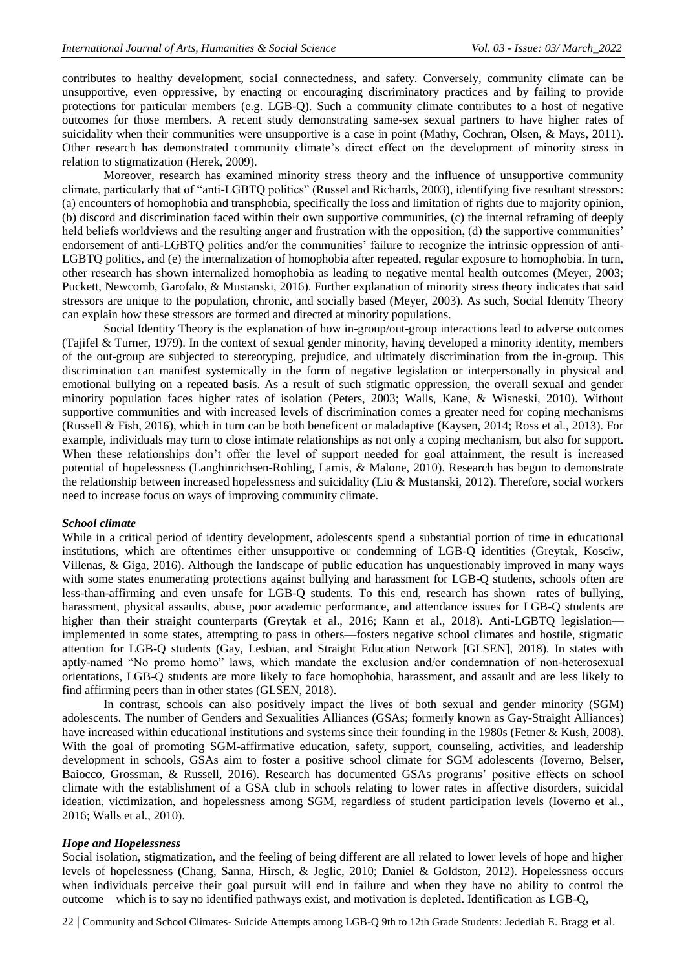contributes to healthy development, social connectedness, and safety. Conversely, community climate can be unsupportive, even oppressive, by enacting or encouraging discriminatory practices and by failing to provide protections for particular members (e.g. LGB-Q). Such a community climate contributes to a host of negative outcomes for those members. A recent study demonstrating same-sex sexual partners to have higher rates of suicidality when their communities were unsupportive is a case in point (Mathy, Cochran, Olsen, & Mays, 2011). Other research has demonstrated community climate's direct effect on the development of minority stress in relation to stigmatization (Herek, 2009).

Moreover, research has examined minority stress theory and the influence of unsupportive community climate, particularly that of "anti-LGBTQ politics" (Russel and Richards, 2003), identifying five resultant stressors: (a) encounters of homophobia and transphobia, specifically the loss and limitation of rights due to majority opinion, (b) discord and discrimination faced within their own supportive communities, (c) the internal reframing of deeply held beliefs worldviews and the resulting anger and frustration with the opposition, (d) the supportive communities' endorsement of anti-LGBTQ politics and/or the communities' failure to recognize the intrinsic oppression of anti-LGBTQ politics, and (e) the internalization of homophobia after repeated, regular exposure to homophobia. In turn, other research has shown internalized homophobia as leading to negative mental health outcomes (Meyer, 2003; Puckett, Newcomb, Garofalo, & Mustanski, 2016). Further explanation of minority stress theory indicates that said stressors are unique to the population, chronic, and socially based (Meyer, 2003). As such, Social Identity Theory can explain how these stressors are formed and directed at minority populations.

Social Identity Theory is the explanation of how in-group/out-group interactions lead to adverse outcomes (Tajifel & Turner, 1979). In the context of sexual gender minority, having developed a minority identity, members of the out-group are subjected to stereotyping, prejudice, and ultimately discrimination from the in-group. This discrimination can manifest systemically in the form of negative legislation or interpersonally in physical and emotional bullying on a repeated basis. As a result of such stigmatic oppression, the overall sexual and gender minority population faces higher rates of isolation (Peters, 2003; Walls, Kane, & Wisneski, 2010). Without supportive communities and with increased levels of discrimination comes a greater need for coping mechanisms (Russell & Fish, 2016), which in turn can be both beneficent or maladaptive (Kaysen, 2014; Ross et al., 2013). For example, individuals may turn to close intimate relationships as not only a coping mechanism, but also for support. When these relationships don't offer the level of support needed for goal attainment, the result is increased potential of hopelessness (Langhinrichsen-Rohling, Lamis, & Malone, 2010). Research has begun to demonstrate the relationship between increased hopelessness and suicidality (Liu & Mustanski, 2012). Therefore, social workers need to increase focus on ways of improving community climate.

#### *School climate*

While in a critical period of identity development, adolescents spend a substantial portion of time in educational institutions, which are oftentimes either unsupportive or condemning of LGB-Q identities (Greytak, Kosciw, Villenas, & Giga, 2016). Although the landscape of public education has unquestionably improved in many ways with some states enumerating protections against bullying and harassment for LGB-Q students, schools often are less-than-affirming and even unsafe for LGB-Q students. To this end, research has shown rates of bullying, harassment, physical assaults, abuse, poor academic performance, and attendance issues for LGB-Q students are higher than their straight counterparts (Greytak et al., 2016; Kann et al., 2018). Anti-LGBTQ legislation implemented in some states, attempting to pass in others—fosters negative school climates and hostile, stigmatic attention for LGB-Q students (Gay, Lesbian, and Straight Education Network [GLSEN], 2018). In states with aptly-named "No promo homo" laws, which mandate the exclusion and/or condemnation of non-heterosexual orientations, LGB-Q students are more likely to face homophobia, harassment, and assault and are less likely to find affirming peers than in other states (GLSEN, 2018).

In contrast, schools can also positively impact the lives of both sexual and gender minority (SGM) adolescents. The number of Genders and Sexualities Alliances (GSAs; formerly known as Gay-Straight Alliances) have increased within educational institutions and systems since their founding in the 1980s (Fetner & Kush, 2008). With the goal of promoting SGM-affirmative education, safety, support, counseling, activities, and leadership development in schools, GSAs aim to foster a positive school climate for SGM adolescents (Ioverno, Belser, Baiocco, Grossman, & Russell, 2016). Research has documented GSAs programs' positive effects on school climate with the establishment of a GSA club in schools relating to lower rates in affective disorders, suicidal ideation, victimization, and hopelessness among SGM, regardless of student participation levels (Ioverno et al., 2016; Walls et al., 2010).

#### *Hope and Hopelessness*

Social isolation, stigmatization, and the feeling of being different are all related to lower levels of hope and higher levels of hopelessness (Chang, Sanna, Hirsch, & Jeglic, 2010; Daniel & Goldston, 2012). Hopelessness occurs when individuals perceive their goal pursuit will end in failure and when they have no ability to control the outcome—which is to say no identified pathways exist, and motivation is depleted. Identification as LGB-Q,

22 | Community and School Climates- Suicide Attempts among LGB-Q 9th to 12th Grade Students: Jedediah E. Bragg et al.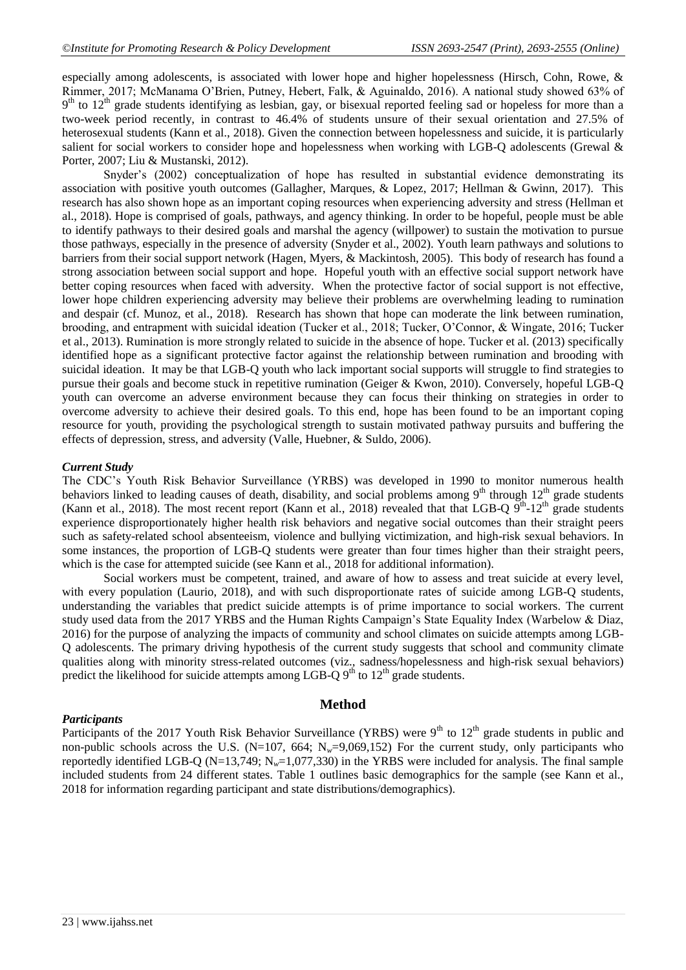especially among adolescents, is associated with lower hope and higher hopelessness (Hirsch, Cohn, Rowe, & Rimmer, 2017; McManama O'Brien, Putney, Hebert, Falk, & Aguinaldo, 2016). A national study showed 63% of  $9<sup>th</sup>$  to  $12<sup>th</sup>$  grade students identifying as lesbian, gay, or bisexual reported feeling sad or hopeless for more than a two-week period recently, in contrast to 46.4% of students unsure of their sexual orientation and 27.5% of heterosexual students (Kann et al., 2018). Given the connection between hopelessness and suicide, it is particularly salient for social workers to consider hope and hopelessness when working with LGB-Q adolescents (Grewal & Porter, 2007; Liu & Mustanski, 2012).

Snyder's (2002) conceptualization of hope has resulted in substantial evidence demonstrating its association with positive youth outcomes (Gallagher, Marques, & Lopez, 2017; Hellman & Gwinn, 2017). This research has also shown hope as an important coping resources when experiencing adversity and stress (Hellman et al., 2018). Hope is comprised of goals, pathways, and agency thinking. In order to be hopeful, people must be able to identify pathways to their desired goals and marshal the agency (willpower) to sustain the motivation to pursue those pathways, especially in the presence of adversity (Snyder et al., 2002). Youth learn pathways and solutions to barriers from their social support network (Hagen, Myers, & Mackintosh, 2005). This body of research has found a strong association between social support and hope. Hopeful youth with an effective social support network have better coping resources when faced with adversity. When the protective factor of social support is not effective, lower hope children experiencing adversity may believe their problems are overwhelming leading to rumination and despair (cf. Munoz, et al., 2018). Research has shown that hope can moderate the link between rumination, brooding, and entrapment with suicidal ideation (Tucker et al., 2018; Tucker, O'Connor, & Wingate, 2016; Tucker et al., 2013). Rumination is more strongly related to suicide in the absence of hope. Tucker et al. (2013) specifically identified hope as a significant protective factor against the relationship between rumination and brooding with suicidal ideation. It may be that LGB-Q youth who lack important social supports will struggle to find strategies to pursue their goals and become stuck in repetitive rumination (Geiger & Kwon, 2010). Conversely, hopeful LGB-Q youth can overcome an adverse environment because they can focus their thinking on strategies in order to overcome adversity to achieve their desired goals. To this end, hope has been found to be an important coping resource for youth, providing the psychological strength to sustain motivated pathway pursuits and buffering the effects of depression, stress, and adversity (Valle, Huebner, & Suldo, 2006).

#### *Current Study*

The CDC's Youth Risk Behavior Surveillance (YRBS) was developed in 1990 to monitor numerous health behaviors linked to leading causes of death, disability, and social problems among  $9<sup>th</sup>$  through  $12<sup>th</sup>$  grade students (Kann et al., 2018). The most recent report (Kann et al., 2018) revealed that that LGB-Q  $9^{th}$ -12<sup>th</sup> grade students experience disproportionately higher health risk behaviors and negative social outcomes than their straight peers such as safety-related school absenteeism, violence and bullying victimization, and high-risk sexual behaviors. In some instances, the proportion of LGB-Q students were greater than four times higher than their straight peers, which is the case for attempted suicide (see Kann et al., 2018 for additional information).

Social workers must be competent, trained, and aware of how to assess and treat suicide at every level, with every population (Laurio, 2018), and with such disproportionate rates of suicide among LGB-O students, understanding the variables that predict suicide attempts is of prime importance to social workers. The current study used data from the 2017 YRBS and the Human Rights Campaign's State Equality Index (Warbelow & Diaz, 2016) for the purpose of analyzing the impacts of community and school climates on suicide attempts among LGB-Q adolescents. The primary driving hypothesis of the current study suggests that school and community climate qualities along with minority stress-related outcomes (viz., sadness/hopelessness and high-risk sexual behaviors) predict the likelihood for suicide attempts among LGB-Q  $9<sup>th</sup>$  to  $12<sup>th</sup>$  grade students.

#### *Participants*

**Method**

Participants of the 2017 Youth Risk Behavior Surveillance (YRBS) were  $9<sup>th</sup>$  to  $12<sup>th</sup>$  grade students in public and non-public schools across the U.S. (N=107, 664; N<sub>w</sub>=9,069,152) For the current study, only participants who reportedly identified LGB-Q (N=13,749; N*w*=1,077,330) in the YRBS were included for analysis. The final sample included students from 24 different states. Table 1 outlines basic demographics for the sample (see Kann et al., 2018 for information regarding participant and state distributions/demographics).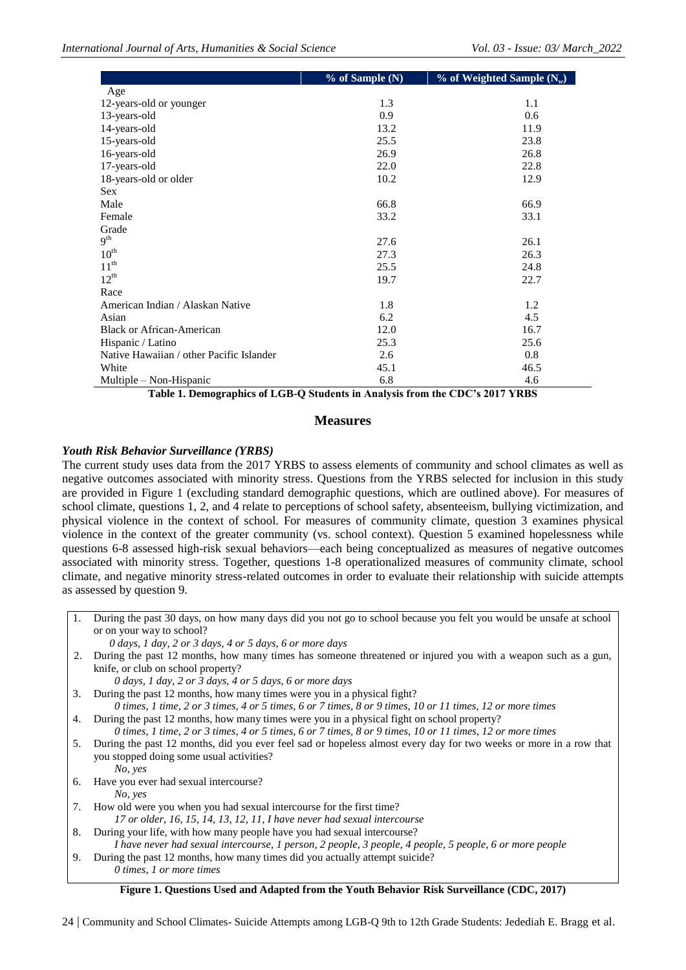|                                          | % of Sample (N) | $%$ of Weighted Sample (N <sub>w</sub> ) |
|------------------------------------------|-----------------|------------------------------------------|
| Age                                      |                 |                                          |
| 12-years-old or younger                  | 1.3             | 1.1                                      |
| 13-years-old                             | 0.9             | 0.6                                      |
| 14-years-old                             | 13.2            | 11.9                                     |
| 15-years-old                             | 25.5            | 23.8                                     |
| 16-years-old                             | 26.9            | 26.8                                     |
| 17-years-old                             | 22.0            | 22.8                                     |
| 18-years-old or older                    | 10.2            | 12.9                                     |
| <b>Sex</b>                               |                 |                                          |
| Male                                     | 66.8            | 66.9                                     |
| Female                                   | 33.2            | 33.1                                     |
| Grade                                    |                 |                                          |
| 9 <sup>th</sup>                          | 27.6            | 26.1                                     |
| $10^{\text{th}}$                         | 27.3            | 26.3                                     |
| $11^{th}$                                | 25.5            | 24.8                                     |
| $12^{th}$                                | 19.7            | 22.7                                     |
| Race                                     |                 |                                          |
| American Indian / Alaskan Native         | 1.8             | 1.2                                      |
| Asian                                    | 6.2             | 4.5                                      |
| <b>Black or African-American</b>         | 12.0            | 16.7                                     |
| Hispanic / Latino                        | 25.3            | 25.6                                     |
| Native Hawaiian / other Pacific Islander | 2.6             | 0.8                                      |
| White                                    | 45.1            | 46.5                                     |
| Multiple $-$ Non-Hispanic                | 6.8             | 4.6                                      |

**Table 1. Demographics of LGB-Q Students in Analysis from the CDC's 2017 YRBS**

# **Measures**

# *Youth Risk Behavior Surveillance (YRBS)*

The current study uses data from the 2017 YRBS to assess elements of community and school climates as well as negative outcomes associated with minority stress. Questions from the YRBS selected for inclusion in this study are provided in Figure 1 (excluding standard demographic questions, which are outlined above). For measures of school climate, questions 1, 2, and 4 relate to perceptions of school safety, absenteeism, bullying victimization, and physical violence in the context of school. For measures of community climate, question 3 examines physical violence in the context of the greater community (vs. school context). Question 5 examined hopelessness while questions 6-8 assessed high-risk sexual behaviors—each being conceptualized as measures of negative outcomes associated with minority stress. Together, questions 1-8 operationalized measures of community climate, school climate, and negative minority stress-related outcomes in order to evaluate their relationship with suicide attempts as assessed by question 9.

1. During the past 30 days, on how many days did you not go to school because you felt you would be unsafe at school or on your way to school?

 *0 days, 1 day, 2 or 3 days, 4 or 5 days, 6 or more days*

2. During the past 12 months, how many times has someone threatened or injured you with a weapon such as a gun, knife, or club on school property?

*0 days, 1 day, 2 or 3 days, 4 or 5 days, 6 or more days*

- 3. During the past 12 months, how many times were you in a physical fight?
- *0 times, 1 time, 2 or 3 times, 4 or 5 times, 6 or 7 times, 8 or 9 times, 10 or 11 times, 12 or more times* 4. During the past 12 months, how many times were you in a physical fight on school property?
- *0 times, 1 time, 2 or 3 times, 4 or 5 times, 6 or 7 times, 8 or 9 times, 10 or 11 times, 12 or more times* 5. During the past 12 months, did you ever feel sad or hopeless almost every day for two weeks or more in a row that you stopped doing some usual activities?
- *No, yes* 6. Have you ever had sexual intercourse?
	- *No, yes*
- 7. How old were you when you had sexual intercourse for the first time?
- *17 or older, 16, 15, 14, 13, 12, 11, I have never had sexual intercourse*
- 8. During your life, with how many people have you had sexual intercourse? *I have never had sexual intercourse, 1 person, 2 people, 3 people, 4 people, 5 people, 6 or more people*
- 9. During the past 12 months, how many times did you actually attempt suicide? *0 times, 1 or more times*

#### **Figure 1. Questions Used and Adapted from the Youth Behavior Risk Surveillance (CDC, 2017)**

24 | Community and School Climates- Suicide Attempts among LGB-Q 9th to 12th Grade Students: Jedediah E. Bragg et al.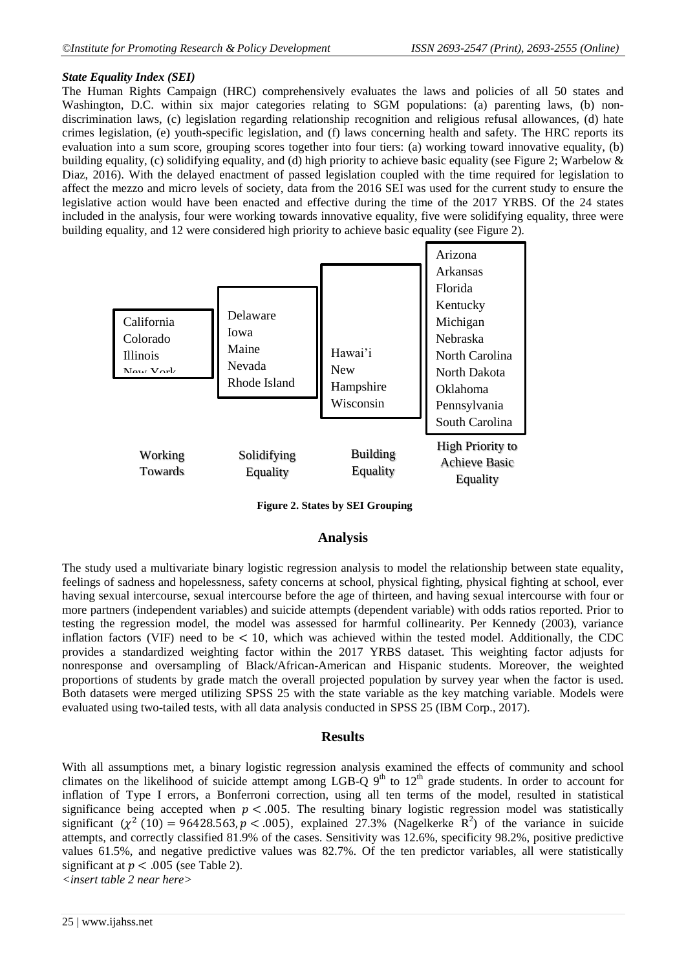#### *State Equality Index (SEI)*

The Human Rights Campaign (HRC) comprehensively evaluates the laws and policies of all 50 states and Washington, D.C. within six major categories relating to SGM populations: (a) parenting laws, (b) nondiscrimination laws, (c) legislation regarding relationship recognition and religious refusal allowances, (d) hate crimes legislation, (e) youth-specific legislation, and (f) laws concerning health and safety. The HRC reports its evaluation into a sum score, grouping scores together into four tiers: (a) working toward innovative equality, (b) building equality, (c) solidifying equality, and (d) high priority to achieve basic equality (see Figure 2; Warbelow  $\&$ Diaz, 2016). With the delayed enactment of passed legislation coupled with the time required for legislation to affect the mezzo and micro levels of society, data from the 2016 SEI was used for the current study to ensure the legislative action would have been enacted and effective during the time of the 2017 YRBS. Of the 24 states included in the analysis, four were working towards innovative equality, five were solidifying equality, three were building equality, and 12 were considered high priority to achieve basic equality (see Figure 2).



**Figure 2. States by SEI Grouping**

# **Analysis**

The study used a multivariate binary logistic regression analysis to model the relationship between state equality, feelings of sadness and hopelessness, safety concerns at school, physical fighting, physical fighting at school, ever having sexual intercourse, sexual intercourse before the age of thirteen, and having sexual intercourse with four or more partners (independent variables) and suicide attempts (dependent variable) with odds ratios reported. Prior to testing the regression model, the model was assessed for harmful collinearity. Per Kennedy (2003), variance inflation factors (VIF) need to be  $< 10$ , which was achieved within the tested model. Additionally, the CDC provides a standardized weighting factor within the 2017 YRBS dataset. This weighting factor adjusts for nonresponse and oversampling of Black/African-American and Hispanic students. Moreover, the weighted proportions of students by grade match the overall projected population by survey year when the factor is used. Both datasets were merged utilizing SPSS 25 with the state variable as the key matching variable. Models were evaluated using two-tailed tests, with all data analysis conducted in SPSS 25 (IBM Corp., 2017).

# **Results**

With all assumptions met, a binary logistic regression analysis examined the effects of community and school climates on the likelihood of suicide attempt among LGB-Q  $9<sup>th</sup>$  to  $12<sup>th</sup>$  grade students. In order to account for inflation of Type I errors, a Bonferroni correction, using all ten terms of the model, resulted in statistical significance being accepted when  $p < .005$ . The resulting binary logistic regression model was statistically significant  $(\chi^2(10) = 96428.563, p < .005)$ , explained 27.3% (Nagelkerke R<sup>2</sup>) of the variance in suicide attempts, and correctly classified 81.9% of the cases. Sensitivity was 12.6%, specificity 98.2%, positive predictive values 61.5%, and negative predictive values was 82.7%. Of the ten predictor variables, all were statistically significant at  $p < .005$  (see Table 2).

*<insert table 2 near here>*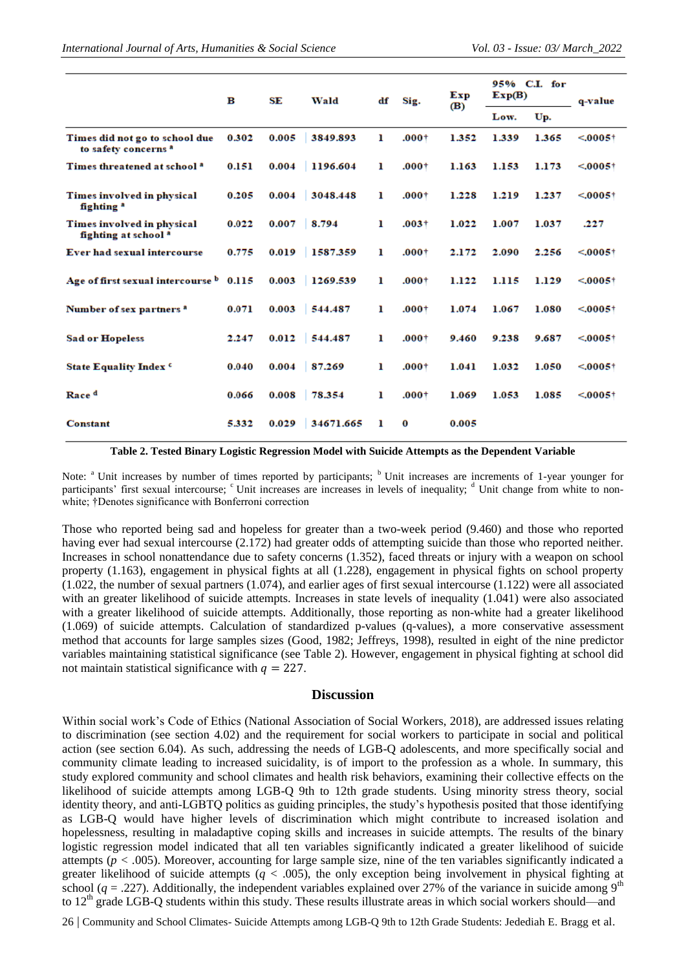|                                                                   | в     | SE    | Wald      | $_{\rm df}$ | Sig.     | Exp<br>(B) | 95% C.I. for<br>Exp(B) |       | q-value                 |
|-------------------------------------------------------------------|-------|-------|-----------|-------------|----------|------------|------------------------|-------|-------------------------|
|                                                                   |       |       |           |             |          |            | Low.                   | Up.   |                         |
| Times did not go to school due<br>to safety concerns <sup>a</sup> | 0.302 | 0.005 | 3849.893  | 1           | $.000 +$ | 1.352      | 1.339                  | 1.365 | $< 0.0005$ <sup>+</sup> |
| Times threatened at school <sup>3</sup>                           | 0.151 | 0.004 | 1196.604  | ı           | $.000 +$ | 1.163      | 1.153                  | 1.173 | $< 0.0005$ <sup>+</sup> |
| Times involved in physical<br>fighting <sup>a</sup>               | 0.205 | 0.004 | 3048.448  | ı           | $.000 +$ | 1.228      | 1.219                  | 1.237 | $< .0005+$              |
| Times involved in physical<br>fighting at school <sup>a</sup>     | 0.022 | 0.007 | 8.794     | ı           | $.003+$  | 1.022      | 1.007                  | 1.037 | .227                    |
| Ever had sexual intercourse                                       | 0.775 | 0.019 | 1587.359  | ı           | $.000 +$ | 2.172      | 2.090                  | 2.256 | $< 0.0005$ <sup>+</sup> |
| Age of first sexual intercourse <b>b</b> 0.115                    |       | 0.003 | 1269.539  | ı           | $.000 +$ | 1.122      | 1.115                  | 1.129 | $< 0.005$ <sup>+</sup>  |
| Number of sex partners <sup>a</sup>                               | 0.071 | 0.003 | 544.487   | ı           | $.000 +$ | 1.074      | 1.067                  | 1.080 | $< 0005\dagger$         |
| <b>Sad or Hopeless</b>                                            | 2.247 | 0.012 | 544.487   | ı           | $.000 +$ | 9.460      | 9.238                  | 9.687 | $< .0005+$              |
| State Equality Index <sup>c</sup>                                 | 0.040 | 0.004 | 87.269    | ı           | $.000 +$ | 1.041      | 1.032                  | 1.050 | $< 0.005$ †             |
| Race <sup>d</sup>                                                 | 0.066 | 0.008 | 78.354    | ı           | $.000 +$ | 1.069      | 1.053                  | 1.085 | $< 0005\dagger$         |
| Constant                                                          | 5.332 | 0.029 | 34671.665 | ı           | 0        | 0.005      |                        |       |                         |

**Table 2. Tested Binary Logistic Regression Model with Suicide Attempts as the Dependent Variable**

Note: <sup>a</sup> Unit increases by number of times reported by participants; <sup>b</sup> Unit increases are increments of 1-year younger for participants' first sexual intercourse; <sup>c</sup> Unit increases are increases in levels of inequality; <sup>d</sup> Unit change from white to nonwhite; †Denotes significance with Bonferroni correction

Those who reported being sad and hopeless for greater than a two-week period (9.460) and those who reported having ever had sexual intercourse (2.172) had greater odds of attempting suicide than those who reported neither. Increases in school nonattendance due to safety concerns (1.352), faced threats or injury with a weapon on school property (1.163), engagement in physical fights at all (1.228), engagement in physical fights on school property (1.022, the number of sexual partners (1.074), and earlier ages of first sexual intercourse (1.122) were all associated with an greater likelihood of suicide attempts. Increases in state levels of inequality (1.041) were also associated with a greater likelihood of suicide attempts. Additionally, those reporting as non-white had a greater likelihood (1.069) of suicide attempts. Calculation of standardized p-values (q-values), a more conservative assessment method that accounts for large samples sizes (Good, 1982; Jeffreys, 1998), resulted in eight of the nine predictor variables maintaining statistical significance (see Table 2). However, engagement in physical fighting at school did not maintain statistical significance with  $q = 227$ .

#### **Discussion**

Within social work's Code of Ethics (National Association of Social Workers, 2018), are addressed issues relating to discrimination (see section 4.02) and the requirement for social workers to participate in social and political action (see section 6.04). As such, addressing the needs of LGB-Q adolescents, and more specifically social and community climate leading to increased suicidality, is of import to the profession as a whole. In summary, this study explored community and school climates and health risk behaviors, examining their collective effects on the likelihood of suicide attempts among LGB-Q 9th to 12th grade students. Using minority stress theory, social identity theory, and anti-LGBTQ politics as guiding principles, the study's hypothesis posited that those identifying as LGB-Q would have higher levels of discrimination which might contribute to increased isolation and hopelessness, resulting in maladaptive coping skills and increases in suicide attempts. The results of the binary logistic regression model indicated that all ten variables significantly indicated a greater likelihood of suicide attempts ( $p < .005$ ). Moreover, accounting for large sample size, nine of the ten variables significantly indicated a greater likelihood of suicide attempts (*q* < .005), the only exception being involvement in physical fighting at school ( $q = .227$ ). Additionally, the independent variables explained over 27% of the variance in suicide among 9<sup>th</sup> to  $12<sup>th</sup>$  grade LGB-Q students within this study. These results illustrate areas in which social workers should—and

26 | Community and School Climates- Suicide Attempts among LGB-Q 9th to 12th Grade Students: Jedediah E. Bragg et al.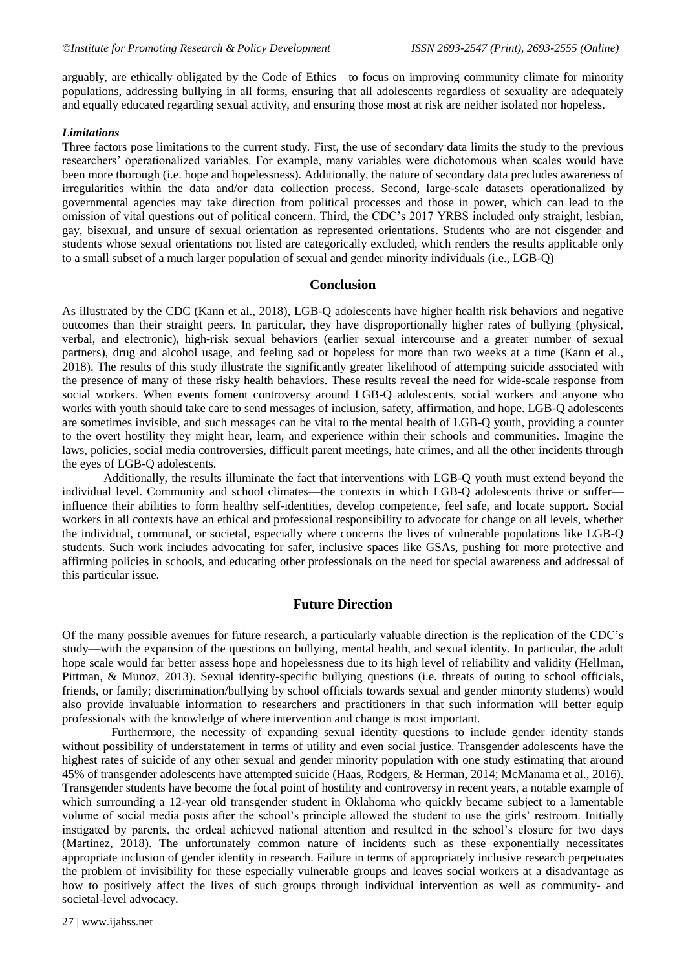arguably, are ethically obligated by the Code of Ethics—to focus on improving community climate for minority populations, addressing bullying in all forms, ensuring that all adolescents regardless of sexuality are adequately and equally educated regarding sexual activity, and ensuring those most at risk are neither isolated nor hopeless.

#### *Limitations*

Three factors pose limitations to the current study. First, the use of secondary data limits the study to the previous researchers' operationalized variables. For example, many variables were dichotomous when scales would have been more thorough (i.e. hope and hopelessness). Additionally, the nature of secondary data precludes awareness of irregularities within the data and/or data collection process. Second, large-scale datasets operationalized by governmental agencies may take direction from political processes and those in power, which can lead to the omission of vital questions out of political concern. Third, the CDC's 2017 YRBS included only straight, lesbian, gay, bisexual, and unsure of sexual orientation as represented orientations. Students who are not cisgender and students whose sexual orientations not listed are categorically excluded, which renders the results applicable only to a small subset of a much larger population of sexual and gender minority individuals (i.e., LGB-Q)

### **Conclusion**

As illustrated by the CDC (Kann et al., 2018), LGB-Q adolescents have higher health risk behaviors and negative outcomes than their straight peers. In particular, they have disproportionally higher rates of bullying (physical, verbal, and electronic), high-risk sexual behaviors (earlier sexual intercourse and a greater number of sexual partners), drug and alcohol usage, and feeling sad or hopeless for more than two weeks at a time (Kann et al., 2018). The results of this study illustrate the significantly greater likelihood of attempting suicide associated with the presence of many of these risky health behaviors. These results reveal the need for wide-scale response from social workers. When events foment controversy around LGB-Q adolescents, social workers and anyone who works with youth should take care to send messages of inclusion, safety, affirmation, and hope. LGB-Q adolescents are sometimes invisible, and such messages can be vital to the mental health of LGB-Q youth, providing a counter to the overt hostility they might hear, learn, and experience within their schools and communities. Imagine the laws, policies, social media controversies, difficult parent meetings, hate crimes, and all the other incidents through the eyes of LGB-Q adolescents.

Additionally, the results illuminate the fact that interventions with LGB-Q youth must extend beyond the individual level. Community and school climates—the contexts in which LGB-Q adolescents thrive or sufferinfluence their abilities to form healthy self-identities, develop competence, feel safe, and locate support. Social workers in all contexts have an ethical and professional responsibility to advocate for change on all levels, whether the individual, communal, or societal, especially where concerns the lives of vulnerable populations like LGB-Q students. Such work includes advocating for safer, inclusive spaces like GSAs, pushing for more protective and affirming policies in schools, and educating other professionals on the need for special awareness and addressal of this particular issue.

#### **Future Direction**

Of the many possible avenues for future research, a particularly valuable direction is the replication of the CDC's study—with the expansion of the questions on bullying, mental health, and sexual identity. In particular, the adult hope scale would far better assess hope and hopelessness due to its high level of reliability and validity (Hellman, Pittman, & Munoz, 2013). Sexual identity-specific bullying questions (i.e. threats of outing to school officials, friends, or family; discrimination/bullying by school officials towards sexual and gender minority students) would also provide invaluable information to researchers and practitioners in that such information will better equip professionals with the knowledge of where intervention and change is most important.

Furthermore, the necessity of expanding sexual identity questions to include gender identity stands without possibility of understatement in terms of utility and even social justice. Transgender adolescents have the highest rates of suicide of any other sexual and gender minority population with one study estimating that around 45% of transgender adolescents have attempted suicide (Haas, Rodgers, & Herman, 2014; McManama et al., 2016). Transgender students have become the focal point of hostility and controversy in recent years, a notable example of which surrounding a 12-year old transgender student in Oklahoma who quickly became subject to a lamentable volume of social media posts after the school's principle allowed the student to use the girls' restroom. Initially instigated by parents, the ordeal achieved national attention and resulted in the school's closure for two days (Martinez, 2018). The unfortunately common nature of incidents such as these exponentially necessitates appropriate inclusion of gender identity in research. Failure in terms of appropriately inclusive research perpetuates the problem of invisibility for these especially vulnerable groups and leaves social workers at a disadvantage as how to positively affect the lives of such groups through individual intervention as well as community- and societal-level advocacy.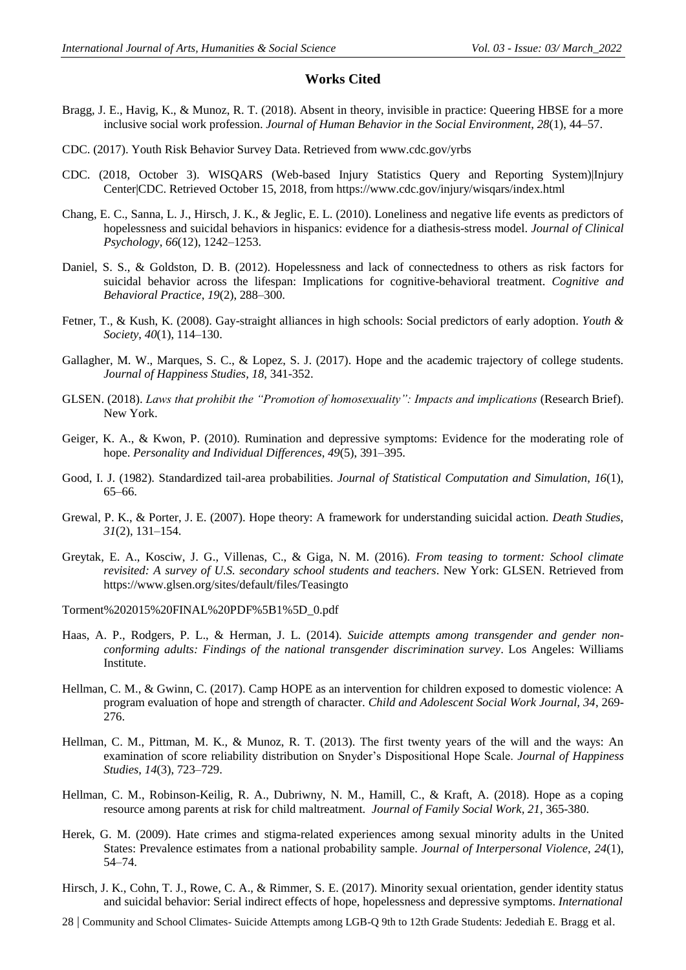#### **Works Cited**

- Bragg, J. E., Havig, K., & Munoz, R. T. (2018). Absent in theory, invisible in practice: Queering HBSE for a more inclusive social work profession. *Journal of Human Behavior in the Social Environment*, *28*(1), 44–57.
- CDC. (2017). Youth Risk Behavior Survey Data. Retrieved from www.cdc.gov/yrbs
- CDC. (2018, October 3). WISQARS (Web-based Injury Statistics Query and Reporting System)|Injury Center|CDC. Retrieved October 15, 2018, from https://www.cdc.gov/injury/wisqars/index.html
- Chang, E. C., Sanna, L. J., Hirsch, J. K., & Jeglic, E. L. (2010). Loneliness and negative life events as predictors of hopelessness and suicidal behaviors in hispanics: evidence for a diathesis-stress model. *Journal of Clinical Psychology*, *66*(12), 1242–1253.
- Daniel, S. S., & Goldston, D. B. (2012). Hopelessness and lack of connectedness to others as risk factors for suicidal behavior across the lifespan: Implications for cognitive-behavioral treatment. *Cognitive and Behavioral Practice*, *19*(2), 288–300.
- Fetner, T., & Kush, K. (2008). Gay-straight alliances in high schools: Social predictors of early adoption. *Youth & Society*, *40*(1), 114–130.
- Gallagher, M. W., Marques, S. C., & Lopez, S. J. (2017). Hope and the academic trajectory of college students. *Journal of Happiness Studies, 18*, 341-352.
- GLSEN. (2018). *Laws that prohibit the "Promotion of homosexuality": Impacts and implications* (Research Brief). New York.
- Geiger, K. A., & Kwon, P. (2010). Rumination and depressive symptoms: Evidence for the moderating role of hope. *Personality and Individual Differences*, *49*(5), 391–395.
- Good, I. J. (1982). Standardized tail-area probabilities. *Journal of Statistical Computation and Simulation*, *16*(1), 65–66.
- Grewal, P. K., & Porter, J. E. (2007). Hope theory: A framework for understanding suicidal action. *Death Studies*, *31*(2), 131–154.
- Greytak, E. A., Kosciw, J. G., Villenas, C., & Giga, N. M. (2016). *From teasing to torment: School climate revisited: A survey of U.S. secondary school students and teachers*. New York: GLSEN. Retrieved from https://www.glsen.org/sites/default/files/Teasingto

Torment%202015%20FINAL%20PDF%5B1%5D\_0.pdf

- Haas, A. P., Rodgers, P. L., & Herman, J. L. (2014). *Suicide attempts among transgender and gender nonconforming adults: Findings of the national transgender discrimination survey*. Los Angeles: Williams Institute.
- Hellman, C. M., & Gwinn, C. (2017). Camp HOPE as an intervention for children exposed to domestic violence: A program evaluation of hope and strength of character. *Child and Adolescent Social Work Journal, 34*, 269- 276.
- Hellman, C. M., Pittman, M. K., & Munoz, R. T. (2013). The first twenty years of the will and the ways: An examination of score reliability distribution on Snyder's Dispositional Hope Scale. *Journal of Happiness Studies*, *14*(3), 723–729.
- Hellman, C. M., Robinson-Keilig, R. A., Dubriwny, N. M., Hamill, C., & Kraft, A. (2018). Hope as a coping resource among parents at risk for child maltreatment. *Journal of Family Social Work, 21*, 365-380.
- Herek, G. M. (2009). Hate crimes and stigma-related experiences among sexual minority adults in the United States: Prevalence estimates from a national probability sample. *Journal of Interpersonal Violence*, *24*(1), 54–74.
- Hirsch, J. K., Cohn, T. J., Rowe, C. A., & Rimmer, S. E. (2017). Minority sexual orientation, gender identity status and suicidal behavior: Serial indirect effects of hope, hopelessness and depressive symptoms. *International*
- 28 | Community and School Climates- Suicide Attempts among LGB-Q 9th to 12th Grade Students: Jedediah E. Bragg et al.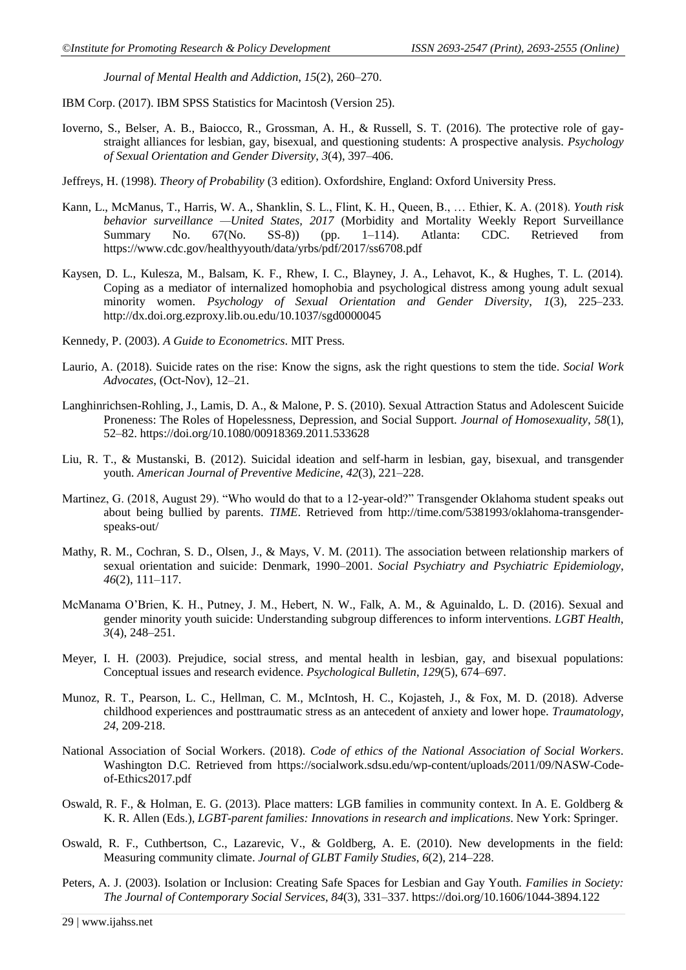*Journal of Mental Health and Addiction*, *15*(2), 260–270.

IBM Corp. (2017). IBM SPSS Statistics for Macintosh (Version 25).

- Ioverno, S., Belser, A. B., Baiocco, R., Grossman, A. H., & Russell, S. T. (2016). The protective role of gaystraight alliances for lesbian, gay, bisexual, and questioning students: A prospective analysis. *Psychology of Sexual Orientation and Gender Diversity*, *3*(4), 397–406.
- Jeffreys, H. (1998). *Theory of Probability* (3 edition). Oxfordshire, England: Oxford University Press.
- Kann, L., McManus, T., Harris, W. A., Shanklin, S. L., Flint, K. H., Queen, B., … Ethier, K. A. (2018). *Youth risk behavior surveillance —United States, 2017* (Morbidity and Mortality Weekly Report Surveillance Summary No. 67(No. SS-8)) (pp. 1–114). Atlanta: CDC. Retrieved from Summary No. 67(No. SS-8)) (pp. 1–114). Atlanta: CDC. Retrieved from https://www.cdc.gov/healthyyouth/data/yrbs/pdf/2017/ss6708.pdf
- Kaysen, D. L., Kulesza, M., Balsam, K. F., Rhew, I. C., Blayney, J. A., Lehavot, K., & Hughes, T. L. (2014). Coping as a mediator of internalized homophobia and psychological distress among young adult sexual minority women. *Psychology of Sexual Orientation and Gender Diversity*, *1*(3), 225–233. http://dx.doi.org.ezproxy.lib.ou.edu/10.1037/sgd0000045
- Kennedy, P. (2003). *A Guide to Econometrics*. MIT Press.
- Laurio, A. (2018). Suicide rates on the rise: Know the signs, ask the right questions to stem the tide. *Social Work Advocates*, (Oct-Nov), 12–21.
- Langhinrichsen-Rohling, J., Lamis, D. A., & Malone, P. S. (2010). Sexual Attraction Status and Adolescent Suicide Proneness: The Roles of Hopelessness, Depression, and Social Support. *Journal of Homosexuality*, *58*(1), 52–82. https://doi.org/10.1080/00918369.2011.533628
- Liu, R. T., & Mustanski, B. (2012). Suicidal ideation and self-harm in lesbian, gay, bisexual, and transgender youth. *American Journal of Preventive Medicine*, *42*(3), 221–228.
- Martinez, G. (2018, August 29). "Who would do that to a 12-year-old?" Transgender Oklahoma student speaks out about being bullied by parents. *TIME*. Retrieved from http://time.com/5381993/oklahoma-transgenderspeaks-out/
- Mathy, R. M., Cochran, S. D., Olsen, J., & Mays, V. M. (2011). The association between relationship markers of sexual orientation and suicide: Denmark, 1990–2001. *Social Psychiatry and Psychiatric Epidemiology*, *46*(2), 111–117.
- McManama O'Brien, K. H., Putney, J. M., Hebert, N. W., Falk, A. M., & Aguinaldo, L. D. (2016). Sexual and gender minority youth suicide: Understanding subgroup differences to inform interventions. *LGBT Health*, *3*(4), 248–251.
- Meyer, I. H. (2003). Prejudice, social stress, and mental health in lesbian, gay, and bisexual populations: Conceptual issues and research evidence. *Psychological Bulletin*, *129*(5), 674–697.
- Munoz, R. T., Pearson, L. C., Hellman, C. M., McIntosh, H. C., Kojasteh, J., & Fox, M. D. (2018). Adverse childhood experiences and posttraumatic stress as an antecedent of anxiety and lower hope. *Traumatology, 24*, 209-218.
- National Association of Social Workers. (2018). *Code of ethics of the National Association of Social Workers*. Washington D.C. Retrieved from https://socialwork.sdsu.edu/wp-content/uploads/2011/09/NASW-Codeof-Ethics2017.pdf
- Oswald, R. F., & Holman, E. G. (2013). Place matters: LGB families in community context. In A. E. Goldberg & K. R. Allen (Eds.), *LGBT-parent families: Innovations in research and implications*. New York: Springer.
- Oswald, R. F., Cuthbertson, C., Lazarevic, V., & Goldberg, A. E. (2010). New developments in the field: Measuring community climate. *Journal of GLBT Family Studies*, *6*(2), 214–228.
- Peters, A. J. (2003). Isolation or Inclusion: Creating Safe Spaces for Lesbian and Gay Youth. *Families in Society: The Journal of Contemporary Social Services*, *84*(3), 331–337. https://doi.org/10.1606/1044-3894.122